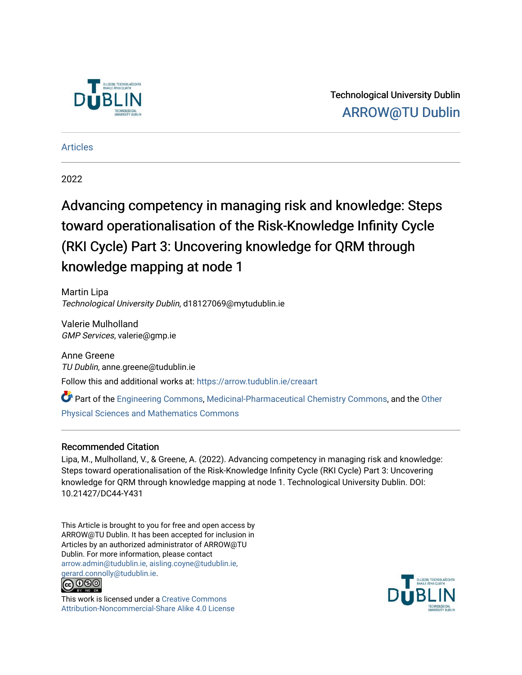

Technological University Dublin [ARROW@TU Dublin](https://arrow.tudublin.ie/) 

#### [Articles](https://arrow.tudublin.ie/creaart)

2022

# Advancing competency in managing risk and knowledge: Steps toward operationalisation of the Risk-Knowledge Infinity Cycle (RKI Cycle) Part 3: Uncovering knowledge for QRM through knowledge mapping at node 1

Martin Lipa Technological University Dublin, d18127069@mytudublin.ie

Valerie Mulholland GMP Services, valerie@gmp.ie

Anne Greene TU Dublin, anne.greene@tudublin.ie Follow this and additional works at: [https://arrow.tudublin.ie/creaart](https://arrow.tudublin.ie/creaart?utm_source=arrow.tudublin.ie%2Fcreaart%2F67&utm_medium=PDF&utm_campaign=PDFCoverPages) 

Part of the [Engineering Commons](http://network.bepress.com/hgg/discipline/217?utm_source=arrow.tudublin.ie%2Fcreaart%2F67&utm_medium=PDF&utm_campaign=PDFCoverPages), [Medicinal-Pharmaceutical Chemistry Commons](http://network.bepress.com/hgg/discipline/136?utm_source=arrow.tudublin.ie%2Fcreaart%2F67&utm_medium=PDF&utm_campaign=PDFCoverPages), and the [Other](http://network.bepress.com/hgg/discipline/216?utm_source=arrow.tudublin.ie%2Fcreaart%2F67&utm_medium=PDF&utm_campaign=PDFCoverPages)  [Physical Sciences and Mathematics Commons](http://network.bepress.com/hgg/discipline/216?utm_source=arrow.tudublin.ie%2Fcreaart%2F67&utm_medium=PDF&utm_campaign=PDFCoverPages)

#### Recommended Citation

Lipa, M., Mulholland, V., & Greene, A. (2022). Advancing competency in managing risk and knowledge: Steps toward operationalisation of the Risk-Knowledge Infinity Cycle (RKI Cycle) Part 3: Uncovering knowledge for QRM through knowledge mapping at node 1. Technological University Dublin. DOI: 10.21427/DC44-Y431

This Article is brought to you for free and open access by ARROW@TU Dublin. It has been accepted for inclusion in Articles by an authorized administrator of ARROW@TU Dublin. For more information, please contact [arrow.admin@tudublin.ie, aisling.coyne@tudublin.ie,](mailto:arrow.admin@tudublin.ie,%20aisling.coyne@tudublin.ie,%20gerard.connolly@tudublin.ie)  [gerard.connolly@tudublin.ie](mailto:arrow.admin@tudublin.ie,%20aisling.coyne@tudublin.ie,%20gerard.connolly@tudublin.ie).



This work is licensed under a [Creative Commons](http://creativecommons.org/licenses/by-nc-sa/4.0/) [Attribution-Noncommercial-Share Alike 4.0 License](http://creativecommons.org/licenses/by-nc-sa/4.0/)

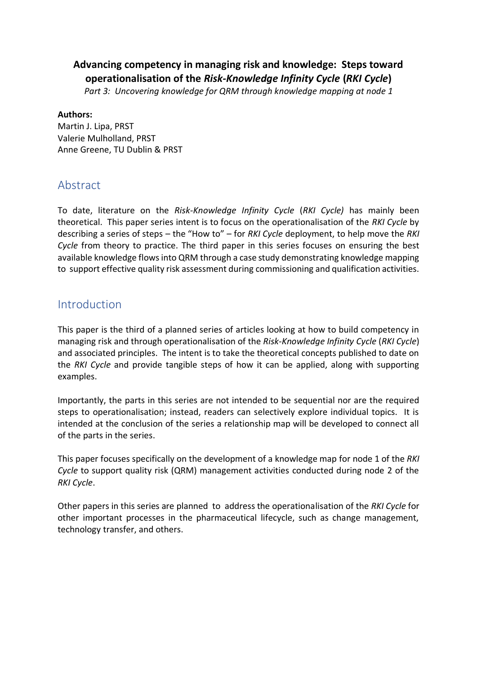### **Advancing competency in managing risk and knowledge: Steps toward operationalisation of the** *Risk-Knowledge Infinity Cycle* **(***RKI Cycle***)**

*Part 3: Uncovering knowledge for QRM through knowledge mapping at node 1*

#### **Authors:**

Martin J. Lipa, PRST Valerie Mulholland, PRST Anne Greene, TU Dublin & PRST

### Abstract

To date, literature on the *Risk-Knowledge Infinity Cycle* (*RKI Cycle)* has mainly been theoretical. This paper series intent is to focus on the operationalisation of the *RKI Cycle* by describing a series of steps – the "How to" – for *RKI Cycle* deployment, to help move the *RKI Cycle* from theory to practice. The third paper in this series focuses on ensuring the best available knowledge flows into QRM through a case study demonstrating knowledge mapping to support effective quality risk assessment during commissioning and qualification activities.

### Introduction

This paper is the third of a planned series of articles looking at how to build competency in managing risk and through operationalisation of the *Risk-Knowledge Infinity Cycle* (*RKI Cycle*) and associated principles. The intent is to take the theoretical concepts published to date on the *RKI Cycle* and provide tangible steps of how it can be applied, along with supporting examples.

Importantly, the parts in this series are not intended to be sequential nor are the required steps to operationalisation; instead, readers can selectively explore individual topics. It is intended at the conclusion of the series a relationship map will be developed to connect all of the parts in the series.

This paper focuses specifically on the development of a knowledge map for node 1 of the *RKI Cycle* to support quality risk (QRM) management activities conducted during node 2 of the *RKI Cycle*.

Other papers in this series are planned to address the operationalisation of the *RKI Cycle* for other important processes in the pharmaceutical lifecycle, such as change management, technology transfer, and others.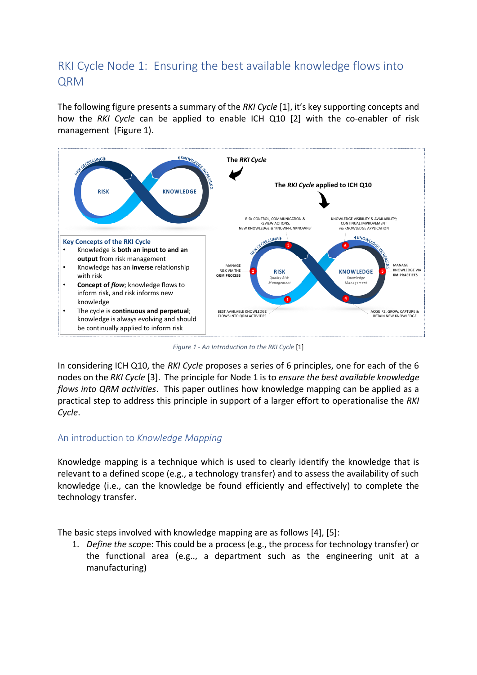# RKI Cycle Node 1: Ensuring the best available knowledge flows into QRM

The following figure presents a summary of the *RKI Cycle* [1], it's key supporting concepts and how the *RKI Cycle* can be applied to enable ICH Q10 [2] with the co-enabler of risk management [\(Figure 1\)](#page-2-0).



*Figure 1 - An Introduction to the RKI Cycle* [1]

<span id="page-2-0"></span>In considering ICH Q10, the *RKI Cycle* proposes a series of 6 principles, one for each of the 6 nodes on the *RKI Cycle* [3]. The principle for Node 1 is to *ensure the best available knowledge flows into QRM activities*. This paper outlines how knowledge mapping can be applied as a practical step to address this principle in support of a larger effort to operationalise the *RKI Cycle*.

#### An introduction to *Knowledge Mapping*

Knowledge mapping is a technique which is used to clearly identify the knowledge that is relevant to a defined scope (e.g., a technology transfer) and to assess the availability of such knowledge (i.e., can the knowledge be found efficiently and effectively) to complete the technology transfer.

The basic steps involved with knowledge mapping are as follows [4], [5]:

1. *Define the scop*e: This could be a process (e.g., the process for technology transfer) or the functional area (e.g.., a department such as the engineering unit at a manufacturing)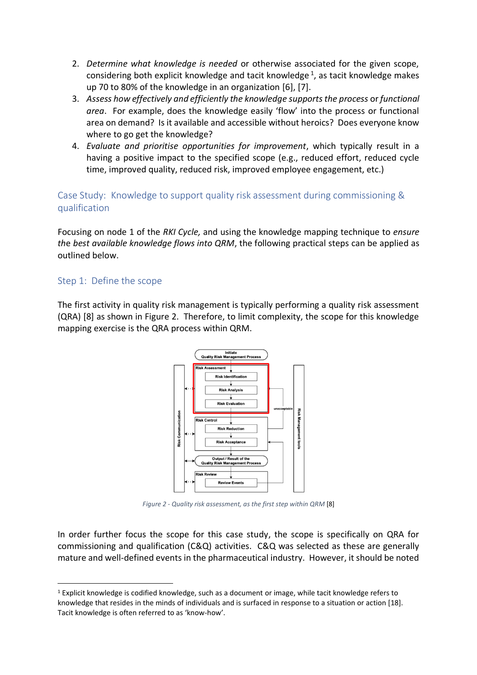- 2. *Determine what knowledge is needed* or otherwise associated for the given scope, considering both explicit knowledge and tacit knowledge<sup>1</sup>, as tacit knowledge makes up 70 to 80% of the knowledge in an organization [6], [7].
- 3. *Assess how effectively and efficiently the knowledge supports the process* or *functional area*. For example, does the knowledge easily 'flow' into the process or functional area on demand? Is it available and accessible without heroics? Does everyone know where to go get the knowledge?
- 4. *Evaluate and prioritise opportunities for improvement*, which typically result in a having a positive impact to the specified scope (e.g., reduced effort, reduced cycle time, improved quality, reduced risk, improved employee engagement, etc.)

Case Study: Knowledge to support quality risk assessment during commissioning & qualification

Focusing on node 1 of the *RKI Cycle,* and using the knowledge mapping technique to *ensure th*e *best available knowledge flows into QRM*, the following practical steps can be applied as outlined below.

#### Step 1: Define the scope

The first activity in quality risk management is typically performing a quality risk assessment (QRA) [8] as shown in [Figure 2.](#page-3-0) Therefore, to limit complexity, the scope for this knowledge mapping exercise is the QRA process within QRM.



*Figure 2 - Quality risk assessment, as the first step within QRM* [8]

<span id="page-3-0"></span>In order further focus the scope for this case study, the scope is specifically on QRA for commissioning and qualification (C&Q) activities. C&Q was selected as these are generally mature and well-defined events in the pharmaceutical industry. However, it should be noted

 $1$  Explicit knowledge is codified knowledge, such as a document or image, while tacit knowledge refers to knowledge that resides in the minds of individuals and is surfaced in response to a situation or action [18]. Tacit knowledge is often referred to as 'know-how'.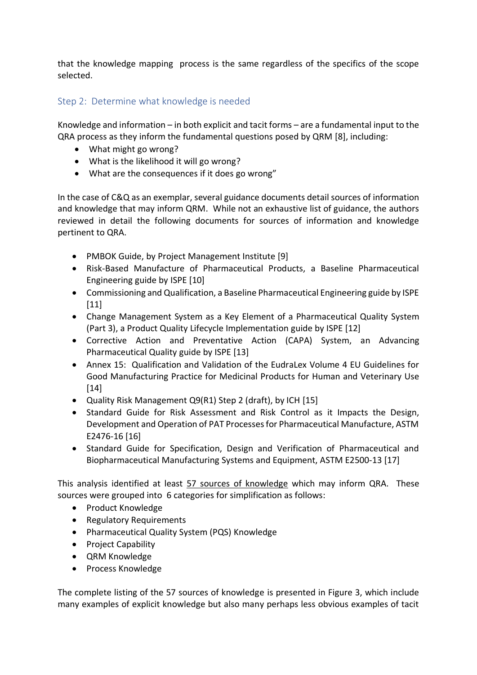that the knowledge mapping process is the same regardless of the specifics of the scope selected.

#### Step 2: Determine what knowledge is needed

Knowledge and information – in both explicit and tacit forms – are a fundamental input to the QRA process as they inform the fundamental questions posed by QRM [8], including:

- What might go wrong?
- What is the likelihood it will go wrong?
- What are the consequences if it does go wrong"

In the case of C&Q as an exemplar, several guidance documents detail sources of information and knowledge that may inform QRM. While not an exhaustive list of guidance, the authors reviewed in detail the following documents for sources of information and knowledge pertinent to QRA.

- PMBOK Guide, by Project Management Institute [9]
- Risk-Based Manufacture of Pharmaceutical Products, a Baseline Pharmaceutical Engineering guide by ISPE [10]
- Commissioning and Qualification, a Baseline Pharmaceutical Engineering guide by ISPE [11]
- Change Management System as a Key Element of a Pharmaceutical Quality System (Part 3), a Product Quality Lifecycle Implementation guide by ISPE [12]
- Corrective Action and Preventative Action (CAPA) System, an Advancing Pharmaceutical Quality guide by ISPE [13]
- Annex 15: Qualification and Validation of the EudraLex Volume 4 EU Guidelines for Good Manufacturing Practice for Medicinal Products for Human and Veterinary Use [14]
- Quality Risk Management Q9(R1) Step 2 (draft), by ICH [15]
- Standard Guide for Risk Assessment and Risk Control as it Impacts the Design, Development and Operation of PAT Processes for Pharmaceutical Manufacture, ASTM E2476-16 [16]
- Standard Guide for Specification, Design and Verification of Pharmaceutical and Biopharmaceutical Manufacturing Systems and Equipment, ASTM E2500-13 [17]

This analysis identified at least 57 sources of knowledge which may inform QRA. These sources were grouped into 6 categories for simplification as follows:

- Product Knowledge
- Regulatory Requirements
- Pharmaceutical Quality System (PQS) Knowledge
- Project Capability
- QRM Knowledge
- Process Knowledge

The complete listing of the 57 sources of knowledge is presented in [Figure 3,](#page-5-0) which include many examples of explicit knowledge but also many perhaps less obvious examples of tacit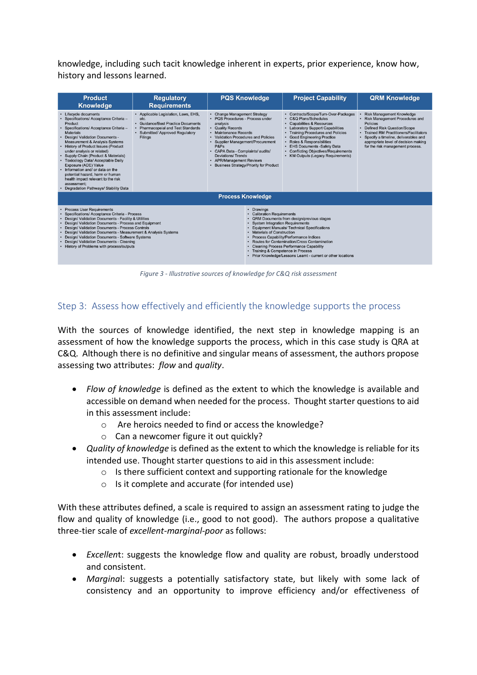knowledge, including such tacit knowledge inherent in experts, prior experience, know how, history and lessons learned.

| <b>Product</b>                                                                                                                                                                                                                                                                                                                                                                                                                                                                                                                                                                      | <b>Regulatory</b>                                                                                                                                                                   | <b>PQS Knowledge</b>                                                                                                                                                                                                                                                                                                                                        | <b>Project Capability</b>                                                                                                                                                                                                                                                                                                                                                                                                                                         | <b>QRM Knowledge</b>                                                                                                                                                                                                                                                                                   |  |  |
|-------------------------------------------------------------------------------------------------------------------------------------------------------------------------------------------------------------------------------------------------------------------------------------------------------------------------------------------------------------------------------------------------------------------------------------------------------------------------------------------------------------------------------------------------------------------------------------|-------------------------------------------------------------------------------------------------------------------------------------------------------------------------------------|-------------------------------------------------------------------------------------------------------------------------------------------------------------------------------------------------------------------------------------------------------------------------------------------------------------------------------------------------------------|-------------------------------------------------------------------------------------------------------------------------------------------------------------------------------------------------------------------------------------------------------------------------------------------------------------------------------------------------------------------------------------------------------------------------------------------------------------------|--------------------------------------------------------------------------------------------------------------------------------------------------------------------------------------------------------------------------------------------------------------------------------------------------------|--|--|
| <b>Knowledge</b>                                                                                                                                                                                                                                                                                                                                                                                                                                                                                                                                                                    | <b>Requirements</b>                                                                                                                                                                 |                                                                                                                                                                                                                                                                                                                                                             |                                                                                                                                                                                                                                                                                                                                                                                                                                                                   |                                                                                                                                                                                                                                                                                                        |  |  |
| Lifecycle documents<br>Specifications/ Acceptance Criteria-<br>Product<br>Specifications/ Acceptance Criteria -<br><b>Materials</b><br><b>Design/ Validation Documents -</b><br><b>Measurement &amp; Analysis Systems</b><br><b>History of Product Issues (Product</b><br>under analysis or related)<br>Supply Chain (Product & Materials)<br><b>Toxicology Data/ Acceptable Daily</b><br>Exposure (ADE) Value<br>. Information and/ or data on the<br>potential hazard, harm or human<br>health impact relevant to the risk<br>assessment:<br>Degradation Pathways/ Stability Data | • Applicable Legislation, Laws, EHS,<br>etc.<br>· Guidance/Best Practice Documents<br><b>Pharmacopeial and Test Standards</b><br>· Submitted/ Approved Regulatory<br><b>Filings</b> | • Change Management Strategy<br>• PQS Procedures - Process under<br>analysis<br>• Quality Records<br>• Maintenance Records<br>• Validation Procedures and Policies<br>Supplier Management/Procurement<br>P&Ps<br>• CAPA Data - Complaints/ audits/<br><b>Deviations/Trends</b><br>• APR/Management Reviews<br><b>Business Strategy/Priority for Product</b> | Contracts/Scope/Turn-Over-Packages<br><b>C&amp;Q Plans/Schedules</b><br><b>Capabilities &amp; Resources</b><br><b>Laboratory Support Capabilities</b><br><b>Training Procedures and Policies</b><br><b>Good Engineering Practice</b><br><b>Roles &amp; Responsibilities</b><br><b>EHS Documents -Safety Data</b><br><b>Conflicting Objectives/Requirements</b><br><b>KM Outputs (Legacy Requirements)</b>                                                         | <b>Risk Management Knowledge</b><br><b>Risk Management Procedures and</b><br><b>Policies</b><br><b>Defined Risk Question/Scope</b><br><b>Trained RM Practitioners/Facilitators</b><br>Specify a timeline, deliverables and<br>appropriate level of decision making<br>for the risk management process. |  |  |
| <b>Process Knowledge</b>                                                                                                                                                                                                                                                                                                                                                                                                                                                                                                                                                            |                                                                                                                                                                                     |                                                                                                                                                                                                                                                                                                                                                             |                                                                                                                                                                                                                                                                                                                                                                                                                                                                   |                                                                                                                                                                                                                                                                                                        |  |  |
| <b>Process User Requirements</b><br>Specifications/ Acceptance Criteria - Process<br>Design/ Validation Documents - Facility & Utilities<br>Design/ Validation Documents - Process and Equipment<br>Design/ Validation Documents - Process Controls<br>Design/ Validation Documents - Measurement & Analysis Systems<br>Design/ Validation Documents - Software Systems<br>Design/ Validation Documents - Cleaning<br>• History of Problems with process/outputs                                                                                                                    |                                                                                                                                                                                     | Drawings                                                                                                                                                                                                                                                                                                                                                    | <b>Calibration Requirements</b><br>QRM Documents from design/previous stages<br><b>System Integration Requirements</b><br><b>Equipment Manuals/ Technical Specifications</b><br><b>Materials of Construction</b><br>Process Capability/Performance Indices<br>Routes for Contamination/Cross Contamination<br><b>Cleaning Process Performance Capability</b><br>• Training & Competence in Process<br>Prior Knowledge/Lessons Learnt - current or other locations |                                                                                                                                                                                                                                                                                                        |  |  |

*Figure 3 - Illustrative sources of knowledge for C&Q risk assessment*

#### <span id="page-5-0"></span>Step 3: Assess how effectively and efficiently the knowledge supports the process

With the sources of knowledge identified, the next step in knowledge mapping is an assessment of how the knowledge supports the process, which in this case study is QRA at C&Q. Although there is no definitive and singular means of assessment, the authors propose assessing two attributes: *flow* and *quality*.

- *Flow of knowledge* is defined as the extent to which the knowledge is available and accessible on demand when needed for the process. Thought starter questions to aid in this assessment include:
	- o Are heroics needed to find or access the knowledge?
	- o Can a newcomer figure it out quickly?
- *Quality of knowledge* is defined as the extent to which the knowledge is reliable for its intended use. Thought starter questions to aid in this assessment include:
	- $\circ$  Is there sufficient context and supporting rationale for the knowledge
	- o Is it complete and accurate (for intended use)

With these attributes defined, a scale is required to assign an assessment rating to judge the flow and quality of knowledge (i.e., good to not good). The authors propose a qualitative three-tier scale of *excellent-marginal-poor* as follows:

- *Excellen*t: suggests the knowledge flow and quality are robust, broadly understood and consistent.
- *Margina*l: suggests a potentially satisfactory state, but likely with some lack of consistency and an opportunity to improve efficiency and/or effectiveness of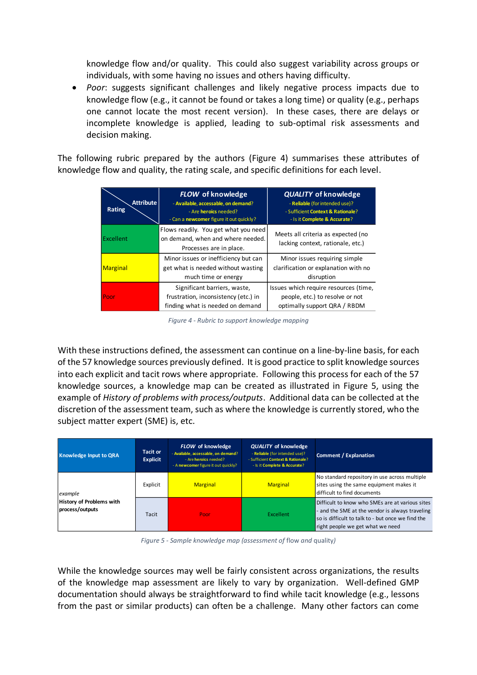knowledge flow and/or quality. This could also suggest variability across groups or individuals, with some having no issues and others having difficulty.

• *Poor*: suggests significant challenges and likely negative process impacts due to knowledge flow (e.g., it cannot be found or takes a long time) or quality (e.g., perhaps one cannot locate the most recent version). In these cases, there are delays or incomplete knowledge is applied, leading to sub-optimal risk assessments and decision making.

The following rubric prepared by the authors [\(Figure 4\)](#page-6-0) summarises these attributes of knowledge flow and quality, the rating scale, and specific definitions for each level.

| <b>Attribute</b><br>Rating | <b>FLOW</b> of knowledge<br>- Available, accessable, on demand?<br>- Are <b>heroics</b> needed?<br>- Can a newcomer figure it out quickly? | <b>QUALITY of knowledge</b><br>- Reliable (for intended use)?<br>- Sufficient Context & Rationale?<br>- Is it Complete & Accurate? |
|----------------------------|--------------------------------------------------------------------------------------------------------------------------------------------|------------------------------------------------------------------------------------------------------------------------------------|
| Excellent                  | Flows readily. You get what you need<br>on demand, when and where needed.<br>Processes are in place.                                       | Meets all criteria as expected (no<br>lacking context, rationale, etc.)                                                            |
| <b>Marginal</b>            | Minor issues or inefficiency but can<br>get what is needed without wasting<br>much time or energy                                          | Minor issues requiring simple<br>clarification or explanation with no<br>disruption                                                |
| Poor                       | Significant barriers, waste,<br>frustration, inconsistency (etc.) in<br>finding what is needed on demand                                   | Issues which require resources (time,<br>people, etc.) to resolve or not<br>optimally support QRA / RBDM                           |

*Figure 4 - Rubric to support knowledge mapping*

<span id="page-6-0"></span>With these instructions defined, the assessment can continue on a line-by-line basis, for each of the 57 knowledge sources previously defined. It is good practice to split knowledge sources into each explicit and tacit rows where appropriate. Following this process for each of the 57 knowledge sources, a knowledge map can be created as illustrated in [Figure 5,](#page-6-1) using the example of *History of problems with process/outputs*. Additional data can be collected at the discretion of the assessment team, such as where the knowledge is currently stored, who the subject matter expert (SME) is, etc.

| <b>Knowledge Input to QRA</b>                          | <b>Tacit or</b><br><b>Explicit</b> | FLOW of knowledge<br>- Available, accessable, on demand?<br>- Are heroics needed?<br>- A newcomer figure it out quickly? | <b>QUALITY of knowledge</b><br>- Reliable (for intended use)?<br>- Sufficient Context & Rationale?<br>- Is it Complete & Accurate? | <b>Comment / Explanation</b>                                                                                                                                                                |
|--------------------------------------------------------|------------------------------------|--------------------------------------------------------------------------------------------------------------------------|------------------------------------------------------------------------------------------------------------------------------------|---------------------------------------------------------------------------------------------------------------------------------------------------------------------------------------------|
| example<br>History of Problems with<br>process/outputs | Explicit                           | <b>Marginal</b>                                                                                                          | <b>Marginal</b>                                                                                                                    | No standard repository in use across multiple<br>sites using the same equipment makes it<br>difficult to find documents                                                                     |
|                                                        | Tacit                              | Poor                                                                                                                     | Excellent                                                                                                                          | Difficult to know who SMEs are at various sites<br>- and the SME at the vendor is always traveling<br>so is difficult to talk to - but once we find the<br>right people we get what we need |

*Figure 5 - Sample knowledge map (assessment of* flow *and* quality*)*

<span id="page-6-1"></span>While the knowledge sources may well be fairly consistent across organizations, the results of the knowledge map assessment are likely to vary by organization. Well-defined GMP documentation should always be straightforward to find while tacit knowledge (e.g., lessons from the past or similar products) can often be a challenge. Many other factors can come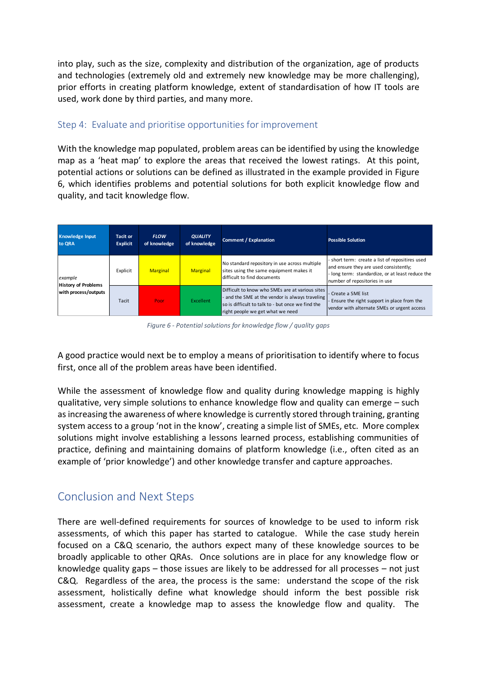into play, such as the size, complexity and distribution of the organization, age of products and technologies (extremely old and extremely new knowledge may be more challenging), prior efforts in creating platform knowledge, extent of standardisation of how IT tools are used, work done by third parties, and many more.

#### Step 4: Evaluate and prioritise opportunities for improvement

With the knowledge map populated, problem areas can be identified by using the knowledge map as a 'heat map' to explore the areas that received the lowest ratings. At this point, potential actions or solutions can be defined as illustrated in the example provided in [Figure](#page-7-0)  [6,](#page-7-0) which identifies problems and potential solutions for both explicit knowledge flow and quality, and tacit knowledge flow.

| <b>Knowledge Input</b><br>to QRA                              | <b>Tacit or</b><br><b>Explicit</b> | <b>FLOW</b><br>of knowledge | <b>QUALITY</b><br>of knowledge | <b>Comment / Explanation</b>                                                                                                                                                              | <b>Possible Solution</b>                                                                                                                                                     |
|---------------------------------------------------------------|------------------------------------|-----------------------------|--------------------------------|-------------------------------------------------------------------------------------------------------------------------------------------------------------------------------------------|------------------------------------------------------------------------------------------------------------------------------------------------------------------------------|
| example<br><b>History of Problems</b><br>with process/outputs | Explicit                           | <b>Marginal</b>             | <b>Marginal</b>                | No standard repository in use across multiple<br>sites using the same equipment makes it<br>difficult to find documents                                                                   | - short term: create a list of repositires used<br>and ensure they are used consistently;<br>long term: standardize, or at least reduce the<br>number of repositories in use |
|                                                               | Tacit                              | Poor                        | <b>Excellent</b>               | Difficult to know who SMEs are at various sites<br>and the SME at the vendor is always traveling<br>so is difficult to talk to - but once we find the<br>right people we get what we need | - Create a SME list<br>Ensure the right support in place from the<br>vendor with alternate SMEs or urgent access                                                             |

*Figure 6 - Potential solutions for knowledge flow / quality gaps*

<span id="page-7-0"></span>A good practice would next be to employ a means of prioritisation to identify where to focus first, once all of the problem areas have been identified.

While the assessment of knowledge flow and quality during knowledge mapping is highly qualitative, very simple solutions to enhance knowledge flow and quality can emerge – such as increasing the awareness of where knowledge is currently stored through training, granting system access to a group 'not in the know', creating a simple list of SMEs, etc. More complex solutions might involve establishing a lessons learned process, establishing communities of practice, defining and maintaining domains of platform knowledge (i.e., often cited as an example of 'prior knowledge') and other knowledge transfer and capture approaches.

# Conclusion and Next Steps

There are well-defined requirements for sources of knowledge to be used to inform risk assessments, of which this paper has started to catalogue. While the case study herein focused on a C&Q scenario, the authors expect many of these knowledge sources to be broadly applicable to other QRAs. Once solutions are in place for any knowledge flow or knowledge quality gaps – those issues are likely to be addressed for all processes – not just C&Q. Regardless of the area, the process is the same: understand the scope of the risk assessment, holistically define what knowledge should inform the best possible risk assessment, create a knowledge map to assess the knowledge flow and quality. The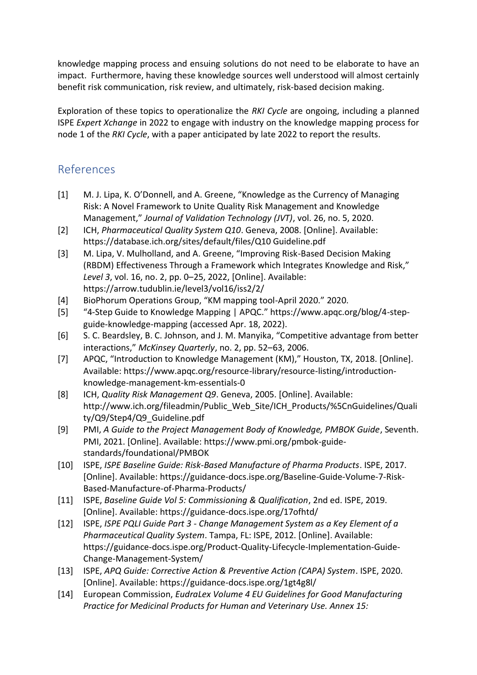knowledge mapping process and ensuing solutions do not need to be elaborate to have an impact. Furthermore, having these knowledge sources well understood will almost certainly benefit risk communication, risk review, and ultimately, risk-based decision making.

Exploration of these topics to operationalize the *RKI Cycle* are ongoing, including a planned ISPE *Expert Xchange* in 2022 to engage with industry on the knowledge mapping process for node 1 of the *RKI Cycle*, with a paper anticipated by late 2022 to report the results.

# References

- [1] M. J. Lipa, K. O'Donnell, and A. Greene, "Knowledge as the Currency of Managing Risk: A Novel Framework to Unite Quality Risk Management and Knowledge Management," *Journal of Validation Technology (JVT)*, vol. 26, no. 5, 2020.
- [2] ICH, *Pharmaceutical Quality System Q10*. Geneva, 2008. [Online]. Available: https://database.ich.org/sites/default/files/Q10 Guideline.pdf
- [3] M. Lipa, V. Mulholland, and A. Greene, "Improving Risk-Based Decision Making (RBDM) Effectiveness Through a Framework which Integrates Knowledge and Risk," *Level 3*, vol. 16, no. 2, pp. 0–25, 2022, [Online]. Available: https://arrow.tudublin.ie/level3/vol16/iss2/2/
- [4] BioPhorum Operations Group, "KM mapping tool-April 2020." 2020.
- [5] "4-Step Guide to Knowledge Mapping | APQC." https://www.apqc.org/blog/4-stepguide-knowledge-mapping (accessed Apr. 18, 2022).
- [6] S. C. Beardsley, B. C. Johnson, and J. M. Manyika, "Competitive advantage from better interactions," *McKinsey Quarterly*, no. 2, pp. 52–63, 2006.
- [7] APQC, "Introduction to Knowledge Management (KM)," Houston, TX, 2018. [Online]. Available: https://www.apqc.org/resource-library/resource-listing/introductionknowledge-management-km-essentials-0
- [8] ICH, *Quality Risk Management Q9*. Geneva, 2005. [Online]. Available: http://www.ich.org/fileadmin/Public\_Web\_Site/ICH\_Products/%5CnGuidelines/Quali ty/Q9/Step4/Q9\_Guideline.pdf
- [9] PMI, *A Guide to the Project Management Body of Knowledge, PMBOK Guide*, Seventh. PMI, 2021. [Online]. Available: https://www.pmi.org/pmbok-guidestandards/foundational/PMBOK
- [10] ISPE, *ISPE Baseline Guide: Risk-Based Manufacture of Pharma Products*. ISPE, 2017. [Online]. Available: https://guidance-docs.ispe.org/Baseline-Guide-Volume-7-Risk-Based-Manufacture-of-Pharma-Products/
- [11] ISPE, *Baseline Guide Vol 5: Commissioning & Qualification*, 2nd ed. ISPE, 2019. [Online]. Available: https://guidance-docs.ispe.org/17ofhtd/
- [12] ISPE, *ISPE PQLI Guide Part 3 - Change Management System as a Key Element of a Pharmaceutical Quality System*. Tampa, FL: ISPE, 2012. [Online]. Available: https://guidance-docs.ispe.org/Product-Quality-Lifecycle-Implementation-Guide-Change-Management-System/
- [13] ISPE, *APQ Guide: Corrective Action & Preventive Action (CAPA) System*. ISPE, 2020. [Online]. Available: https://guidance-docs.ispe.org/1gt4g8l/
- [14] European Commission, *EudraLex Volume 4 EU Guidelines for Good Manufacturing Practice for Medicinal Products for Human and Veterinary Use. Annex 15:*